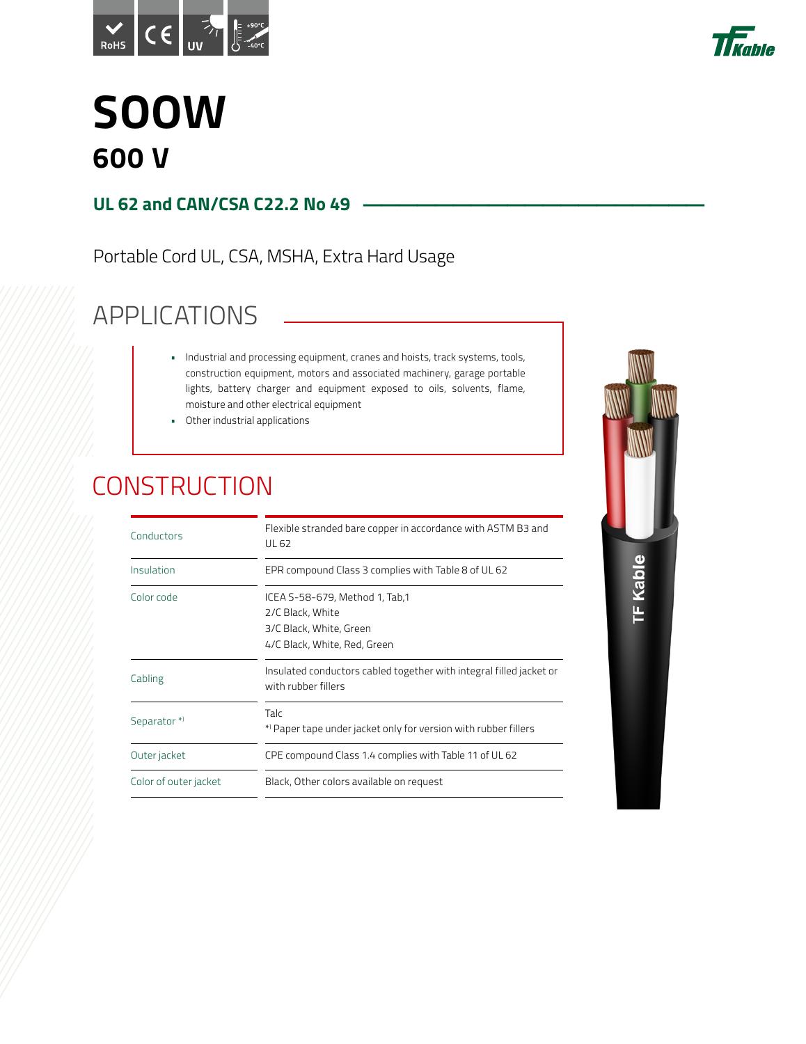



### **SOOW 600 V**

#### **UL 62 and CAN/CSA C22.2 No 49**

Portable Cord UL, CSA, MSHA, Extra Hard Usage

### APPLICATIONS

- Industrial and processing equipment, cranes and hoists, track systems, tools, construction equipment, motors and associated machinery, garage portable lights, battery charger and equipment exposed to oils, solvents, flame, moisture and other electrical equipment
- Other industrial applications

#### **CONSTRUCTION**

| Conductors            | Flexible stranded bare copper in accordance with ASTM B3 and<br>UL 62                                         |
|-----------------------|---------------------------------------------------------------------------------------------------------------|
| Insulation            | EPR compound Class 3 complies with Table 8 of UL 62                                                           |
| Color code            | ICEA S-58-679, Method 1, Tab,1<br>2/C Black, White<br>3/C Black, White, Green<br>4/C Black, White, Red, Green |
| Cabling               | Insulated conductors cabled together with integral filled jacket or<br>with rubber fillers                    |
| Separator*            | Talc<br>*) Paper tape under jacket only for version with rubber fillers                                       |
| Outer jacket          | CPE compound Class 1.4 complies with Table 11 of UL 62                                                        |
| Color of outer jacket | Black, Other colors available on request                                                                      |
|                       |                                                                                                               |

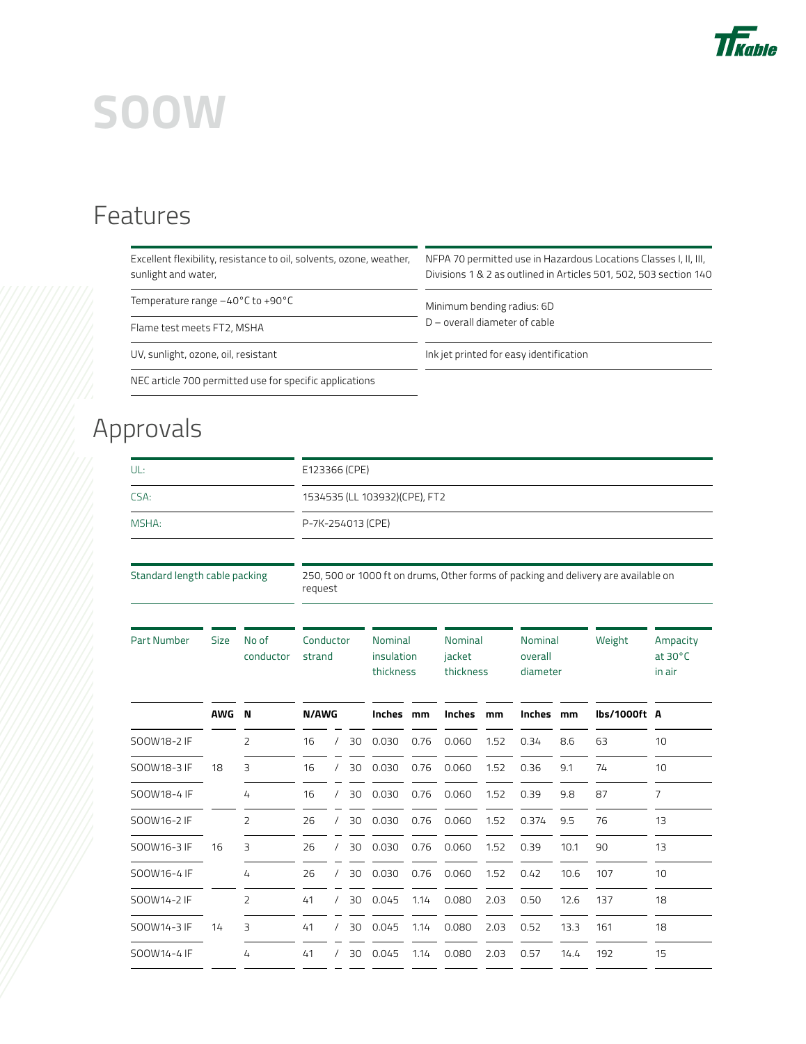

# **SOOW**

### Features

| Excellent flexibility, resistance to oil, solvents, ozone, weather,<br>sunlight and water, | NFPA 70 permitted use in Hazardous Locations Classes I, II, III,<br>Divisions 1 & 2 as outlined in Articles 501, 502, 503 section 140 |  |  |  |  |  |
|--------------------------------------------------------------------------------------------|---------------------------------------------------------------------------------------------------------------------------------------|--|--|--|--|--|
| Temperature range $-40^{\circ}$ C to $+90^{\circ}$ C                                       | Minimum bending radius: 6D                                                                                                            |  |  |  |  |  |
| Flame test meets FT2, MSHA                                                                 | $D$ – overall diameter of cable                                                                                                       |  |  |  |  |  |
| UV, sunlight, ozone, oil, resistant                                                        | Ink jet printed for easy identification                                                                                               |  |  |  |  |  |
| NEC article 700 permitted use for specific applications                                    |                                                                                                                                       |  |  |  |  |  |

### Approvals

| UL:                                    |             |                    | E123366 (CPE)                                                                                 |          |    |                                           |      |                                |               |                                |              |        |                                         |  |
|----------------------------------------|-------------|--------------------|-----------------------------------------------------------------------------------------------|----------|----|-------------------------------------------|------|--------------------------------|---------------|--------------------------------|--------------|--------|-----------------------------------------|--|
| CSA:                                   |             |                    | 1534535 (LL 103932) (CPE), FT2                                                                |          |    |                                           |      |                                |               |                                |              |        |                                         |  |
| MSHA:<br>Standard length cable packing |             |                    | P-7K-254013 (CPE)                                                                             |          |    |                                           |      |                                |               |                                |              |        |                                         |  |
|                                        |             |                    | 250, 500 or 1000 ft on drums, Other forms of packing and delivery are available on<br>request |          |    |                                           |      |                                |               |                                |              |        |                                         |  |
| <b>Part Number</b>                     | <b>Size</b> | No of<br>conductor | Conductor<br>strand                                                                           |          |    | <b>Nominal</b><br>insulation<br>thickness |      | Nominal<br>jacket<br>thickness |               | Nominal<br>overall<br>diameter |              | Weight | Ampacity<br>$at 30^{\circ}$ C<br>in air |  |
|                                        | <b>AWG</b>  | N                  | N/AWG                                                                                         |          |    | Inches<br><b>Inches</b><br>mm             |      | mm                             | <b>Inches</b> | mm                             | lbs/1000ft A |        |                                         |  |
| SOOW18-2 IF                            |             | $\overline{2}$     | 16                                                                                            | $\prime$ | 30 | 0.030                                     | 0.76 | 0.060                          | 1.52          | 0.34                           | 8.6          | 63     | 10                                      |  |
| SOOW18-3 IF                            | 18          | 3                  | 16                                                                                            | $\prime$ | 30 | 0.030                                     | 0.76 | 0.060                          | 1.52          | 0.36                           | 9.1          | 74     | 10                                      |  |
| SOOW18-4 IF                            |             | 4                  | 16                                                                                            | $\prime$ | 30 | 0.030                                     | 0.76 | 0.060                          | 1.52          | 0.39                           | 9.8          | 87     | 7                                       |  |
| SOOW16-2 IF                            |             | 2                  | 26                                                                                            | $\prime$ | 30 | 0.030                                     | 0.76 | 0.060                          | 1.52          | 0.374                          | 9.5          | 76     | 13                                      |  |
| SOOW16-3 IF                            | 16          | 3                  | 26                                                                                            | $\prime$ | 30 | 0.030                                     | 0.76 | 0.060                          | 1.52          | 0.39                           | 10.1         | 90     | 13                                      |  |
| SOOW16-4 IF                            |             | 4                  | 26                                                                                            | $\prime$ | 30 | 0.030                                     | 0.76 | 0.060                          | 1.52          | 0.42                           | 10.6         | 107    | 10                                      |  |
| SOOW14-2 IF                            |             | $\overline{2}$     | 41                                                                                            | $\prime$ | 30 | 0.045                                     | 1.14 | 0.080                          | 2.03          | 0.50                           | 12.6         | 137    | 18                                      |  |
| SOOW14-3 IF                            | 14          | 3                  | 41                                                                                            | $\prime$ | 30 | 0.045                                     | 1.14 | 0.080                          | 2.03          | 0.52                           | 13.3         | 161    | 18                                      |  |
| SOOW14-4 IF                            |             | 4                  | 41                                                                                            | $\prime$ | 30 | 0.045                                     | 1.14 | 0.080                          | 2.03          | 0.57                           | 14.4         | 192    | 15                                      |  |